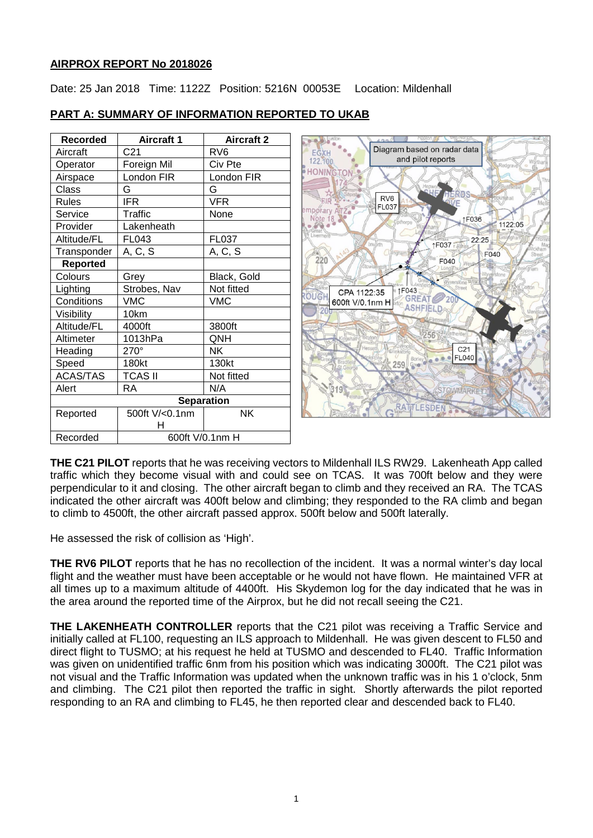## **AIRPROX REPORT No 2018026**

Date: 25 Jan 2018 Time: 1122Z Position: 5216N 00053E Location: Mildenhall

| <b>Recorded</b> | <b>Aircraft 1</b> | <b>Aircraft 2</b> |
|-----------------|-------------------|-------------------|
| Aircraft        | C <sub>21</sub>   | RV <sub>6</sub>   |
| Operator        | Foreign Mil       | Civ Pte           |
| Airspace        | London FIR        | London FIR        |
| Class           | G                 | G                 |
| <b>Rules</b>    | <b>IFR</b>        | <b>VFR</b>        |
| Service         | <b>Traffic</b>    | None              |
| Provider        | Lakenheath        |                   |
| Altitude/FL     | FL043             | FL037             |
| Transponder     | A, C, S           | A, C, S           |
| <b>Reported</b> |                   |                   |
| Colours         | Grey              | Black, Gold       |
| Lighting        | Strobes, Nav      | Not fitted        |
| Conditions      | <b>VMC</b>        | <b>VMC</b>        |
| Visibility      | 10km              |                   |
| Altitude/FL     | 4000ft            | 3800ft            |
| Altimeter       | 1013hPa           | QNH               |
| Heading         | $270^\circ$       | ΝK                |
| Speed           | 180kt             | 130kt             |
| <b>ACAS/TAS</b> | <b>TCAS II</b>    | Not fitted        |
| Alert           | RA                | N/A               |
|                 | <b>Separation</b> |                   |
| Reported        | 500ft V/<0.1nm    | <b>NK</b>         |
|                 | н                 |                   |
| Recorded        | 600ft V/0.1nm H   |                   |

# **PART A: SUMMARY OF INFORMATION REPORTED TO UKAB**



**THE C21 PILOT** reports that he was receiving vectors to Mildenhall ILS RW29. Lakenheath App called traffic which they become visual with and could see on TCAS. It was 700ft below and they were perpendicular to it and closing. The other aircraft began to climb and they received an RA. The TCAS indicated the other aircraft was 400ft below and climbing; they responded to the RA climb and began to climb to 4500ft, the other aircraft passed approx. 500ft below and 500ft laterally.

He assessed the risk of collision as 'High'.

**THE RV6 PILOT** reports that he has no recollection of the incident. It was a normal winter's day local flight and the weather must have been acceptable or he would not have flown. He maintained VFR at all times up to a maximum altitude of 4400ft. His Skydemon log for the day indicated that he was in the area around the reported time of the Airprox, but he did not recall seeing the C21.

**THE LAKENHEATH CONTROLLER** reports that the C21 pilot was receiving a Traffic Service and initially called at FL100, requesting an ILS approach to Mildenhall. He was given descent to FL50 and direct flight to TUSMO; at his request he held at TUSMO and descended to FL40. Traffic Information was given on unidentified traffic 6nm from his position which was indicating 3000ft. The C21 pilot was not visual and the Traffic Information was updated when the unknown traffic was in his 1 o'clock, 5nm and climbing. The C21 pilot then reported the traffic in sight. Shortly afterwards the pilot reported responding to an RA and climbing to FL45, he then reported clear and descended back to FL40.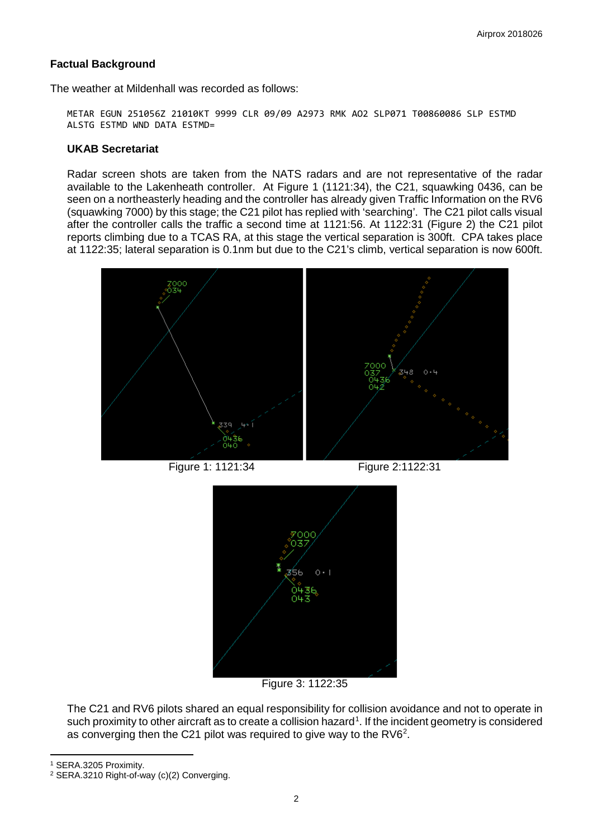## **Factual Background**

The weather at Mildenhall was recorded as follows:

METAR EGUN 251056Z 21010KT 9999 CLR 09/09 A2973 RMK AO2 SLP071 T00860086 SLP ESTMD ALSTG ESTMD WND DATA ESTMD=

#### **UKAB Secretariat**

Radar screen shots are taken from the NATS radars and are not representative of the radar available to the Lakenheath controller. At Figure 1 (1121:34), the C21, squawking 0436, can be seen on a northeasterly heading and the controller has already given Traffic Information on the RV6 (squawking 7000) by this stage; the C21 pilot has replied with 'searching'. The C21 pilot calls visual after the controller calls the traffic a second time at 1121:56. At 1122:31 (Figure 2) the C21 pilot reports climbing due to a TCAS RA, at this stage the vertical separation is 300ft. CPA takes place at 1122:35; lateral separation is 0.1nm but due to the C21's climb, vertical separation is now 600ft.



Figure 1: 1121:34 Figure 2:1122:31



Figure 3: 1122:35

The C21 and RV6 pilots shared an equal responsibility for collision avoidance and not to operate in such proximity to other aircraft as to create a collision hazard<sup>[1](#page-1-0)</sup>. If the incident geometry is considered as converging then the C[2](#page-1-1)1 pilot was required to give way to the RV6<sup>2</sup>.

l

<span id="page-1-0"></span><sup>1</sup> SERA.3205 Proximity.

<span id="page-1-1"></span><sup>2</sup> SERA.3210 Right-of-way (c)(2) Converging.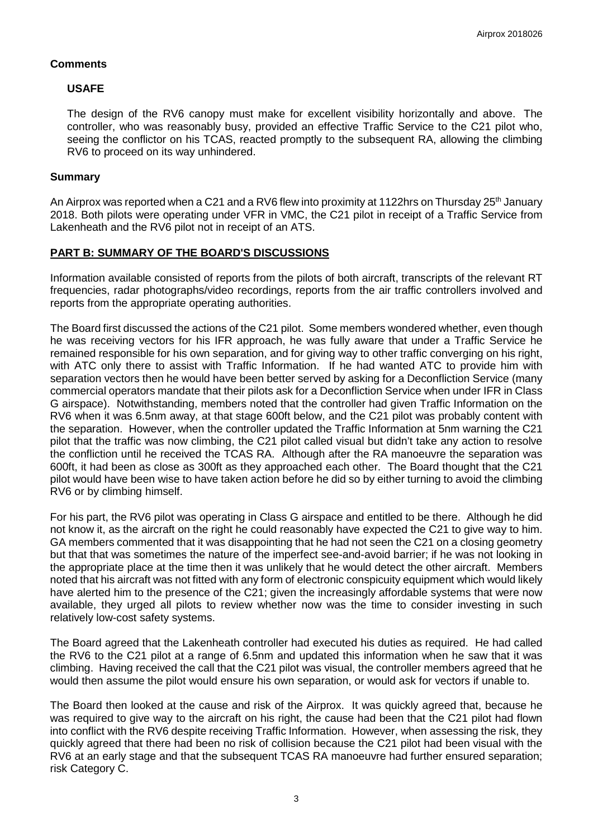## **Comments**

## **USAFE**

The design of the RV6 canopy must make for excellent visibility horizontally and above. The controller, who was reasonably busy, provided an effective Traffic Service to the C21 pilot who, seeing the conflictor on his TCAS, reacted promptly to the subsequent RA, allowing the climbing RV6 to proceed on its way unhindered.

#### **Summary**

An Airprox was reported when a C21 and a RV6 flew into proximity at 1122hrs on Thursday 25<sup>th</sup> January 2018. Both pilots were operating under VFR in VMC, the C21 pilot in receipt of a Traffic Service from Lakenheath and the RV6 pilot not in receipt of an ATS.

## **PART B: SUMMARY OF THE BOARD'S DISCUSSIONS**

Information available consisted of reports from the pilots of both aircraft, transcripts of the relevant RT frequencies, radar photographs/video recordings, reports from the air traffic controllers involved and reports from the appropriate operating authorities.

The Board first discussed the actions of the C21 pilot. Some members wondered whether, even though he was receiving vectors for his IFR approach, he was fully aware that under a Traffic Service he remained responsible for his own separation, and for giving way to other traffic converging on his right, with ATC only there to assist with Traffic Information. If he had wanted ATC to provide him with separation vectors then he would have been better served by asking for a Deconfliction Service (many commercial operators mandate that their pilots ask for a Deconfliction Service when under IFR in Class G airspace). Notwithstanding, members noted that the controller had given Traffic Information on the RV6 when it was 6.5nm away, at that stage 600ft below, and the C21 pilot was probably content with the separation. However, when the controller updated the Traffic Information at 5nm warning the C21 pilot that the traffic was now climbing, the C21 pilot called visual but didn't take any action to resolve the confliction until he received the TCAS RA. Although after the RA manoeuvre the separation was 600ft, it had been as close as 300ft as they approached each other. The Board thought that the C21 pilot would have been wise to have taken action before he did so by either turning to avoid the climbing RV6 or by climbing himself.

For his part, the RV6 pilot was operating in Class G airspace and entitled to be there. Although he did not know it, as the aircraft on the right he could reasonably have expected the C21 to give way to him. GA members commented that it was disappointing that he had not seen the C21 on a closing geometry but that that was sometimes the nature of the imperfect see-and-avoid barrier; if he was not looking in the appropriate place at the time then it was unlikely that he would detect the other aircraft. Members noted that his aircraft was not fitted with any form of electronic conspicuity equipment which would likely have alerted him to the presence of the C21; given the increasingly affordable systems that were now available, they urged all pilots to review whether now was the time to consider investing in such relatively low-cost safety systems.

The Board agreed that the Lakenheath controller had executed his duties as required. He had called the RV6 to the C21 pilot at a range of 6.5nm and updated this information when he saw that it was climbing. Having received the call that the C21 pilot was visual, the controller members agreed that he would then assume the pilot would ensure his own separation, or would ask for vectors if unable to.

The Board then looked at the cause and risk of the Airprox. It was quickly agreed that, because he was required to give way to the aircraft on his right, the cause had been that the C21 pilot had flown into conflict with the RV6 despite receiving Traffic Information. However, when assessing the risk, they quickly agreed that there had been no risk of collision because the C21 pilot had been visual with the RV6 at an early stage and that the subsequent TCAS RA manoeuvre had further ensured separation; risk Category C.